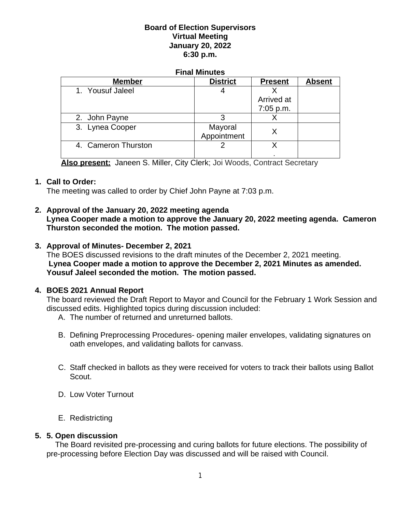## **Board of Election Supervisors Virtual Meeting January 20, 2022 6:30 p.m.**

#### **Final Minutes**

| <b>Member</b>       | <b>District</b> | <b>Present</b> | <b>Absent</b> |
|---------------------|-----------------|----------------|---------------|
| 1. Yousuf Jaleel    |                 |                |               |
|                     |                 | Arrived at     |               |
|                     |                 | 7:05 p.m.      |               |
| 2. John Payne       |                 |                |               |
| 3. Lynea Cooper     | Mayoral         |                |               |
|                     | Appointment     |                |               |
| 4. Cameron Thurston |                 |                |               |
|                     |                 |                |               |

**Also present:** Janeen S. Miller, City Clerk; Joi Woods, Contract Secretary

### **1. Call to Order:**

The meeting was called to order by Chief John Payne at 7:03 p.m.

### **2. Approval of the January 20, 2022 meeting agenda**

**Lynea Cooper made a motion to approve the January 20, 2022 meeting agenda. Cameron Thurston seconded the motion. The motion passed.**

### **3. Approval of Minutes- December 2, 2021**

The BOES discussed revisions to the draft minutes of the December 2, 2021 meeting. **Lynea Cooper made a motion to approve the December 2, 2021 Minutes as amended. Yousuf Jaleel seconded the motion. The motion passed.**

### **4. BOES 2021 Annual Report**

The board reviewed the Draft Report to Mayor and Council for the February 1 Work Session and discussed edits. Highlighted topics during discussion included:

- A. The number of returned and unreturned ballots.
- B. Defining Preprocessing Procedures- opening mailer envelopes, validating signatures on oath envelopes, and validating ballots for canvass.
- C. Staff checked in ballots as they were received for voters to track their ballots using Ballot Scout.
- D. Low Voter Turnout
- E. Redistricting

### **5. 5. Open discussion**

 The Board revisited pre-processing and curing ballots for future elections. The possibility of pre-processing before Election Day was discussed and will be raised with Council.